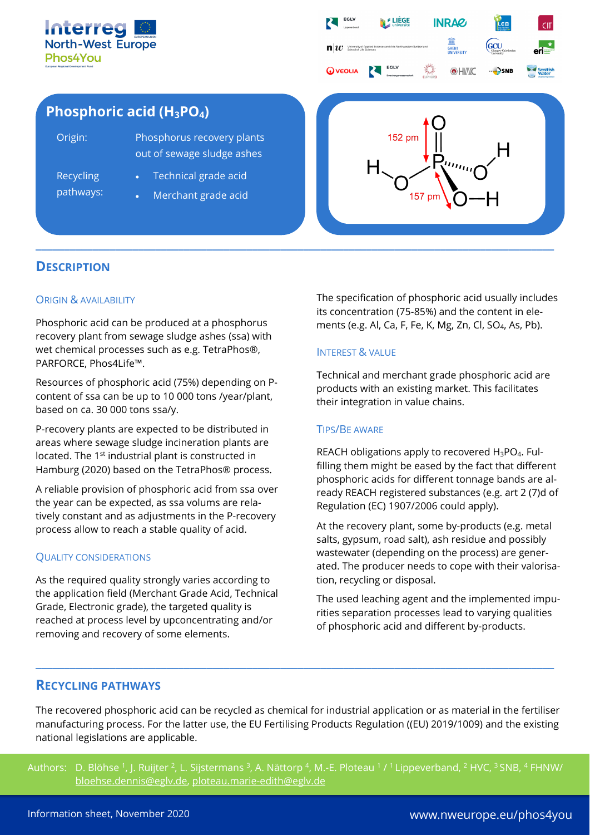



# **Phosphoric acid (H3PO4)**

| Origin:          | Phosphorus recovery plants<br>out of sewage sludge ashes |
|------------------|----------------------------------------------------------|
| <b>Recycling</b> | • Technical grade acid                                   |
| pathways:        | Merchant grade acid                                      |



# **DESCRIPTION**

# ORIGIN & AVAILABILITY

Phosphoric acid can be produced at a phosphorus recovery plant from sewage sludge ashes (ssa) with wet chemical processes such as e.g. TetraPhos®, PARFORCE, Phos4Life™.

Resources of phosphoric acid (75%) depending on Pcontent of ssa can be up to 10 000 tons /year/plant, based on ca. 30 000 tons ssa/y.

P-recovery plants are expected to be distributed in areas where sewage sludge incineration plants are located. The 1st industrial plant is constructed in Hamburg (2020) based on the TetraPhos® process.

A reliable provision of phosphoric acid from ssa over the year can be expected, as ssa volums are relatively constant and as adjustments in the P-recovery process allow to reach a stable quality of acid.

# QUALITY CONSIDERATIONS

As the required quality strongly varies according to the application field (Merchant Grade Acid, Technical Grade, Electronic grade), the targeted quality is reached at process level by upconcentrating and/or removing and recovery of some elements.

The specification of phosphoric acid usually includes its concentration (75-85%) and the content in elements (e.g. Al, Ca, F, Fe, K, Mg, Zn, Cl, SO4, As, Pb).

### INTEREST & VALUE

Technical and merchant grade phosphoric acid are products with an existing market. This facilitates their integration in value chains.

# TIPS/BE AWARE

REACH obligations apply to recovered H<sub>3</sub>PO<sub>4</sub>. Fulfilling them might be eased by the fact that different phosphoric acids for different tonnage bands are already REACH registered substances (e.g. art 2 (7)d of Regulation (EC) 1907/2006 could apply).

At the recovery plant, some by-products (e.g. metal salts, gypsum, road salt), ash residue and possibly wastewater (depending on the process) are generated. The producer needs to cope with their valorisation, recycling or disposal.

The used leaching agent and the implemented impurities separation processes lead to varying qualities of phosphoric acid and different by-products.

# **RECYCLING PATHWAYS**

The recovered phosphoric acid can be recycled as chemical for industrial application or as material in the fertiliser manufacturing process. For the latter use, the EU Fertilising Products Regulation ((EU) 2019/1009) and the existing national legislations are applicable.

**\_\_\_\_\_\_\_\_\_\_\_\_\_\_\_\_\_\_\_\_\_\_\_\_\_\_\_\_\_\_\_\_\_\_\_\_\_\_\_\_\_\_\_\_\_\_\_\_\_\_\_\_\_\_\_\_\_\_\_\_\_\_\_\_\_\_\_\_\_\_\_\_\_\_\_\_\_\_\_\_\_\_\_\_\_\_\_\_\_\_\_**

Authors: D. Blöhse <sup>1</sup>, J. Ruijter <sup>2</sup>, L. Sijstermans <sup>3</sup>, A. Nättorp <sup>4</sup>, M.-E. Ploteau <sup>1</sup> / <sup>1</sup> Lippeverband, <sup>2</sup> HVC, <sup>3</sup> SNB, <sup>4</sup> FHNW/ [bloehse.dennis@eglv.de,](mailto:bloehse.dennis@eglv.de) [ploteau.marie-edith@eglv.de](mailto:ploteau.marie-edith@eglv.de)